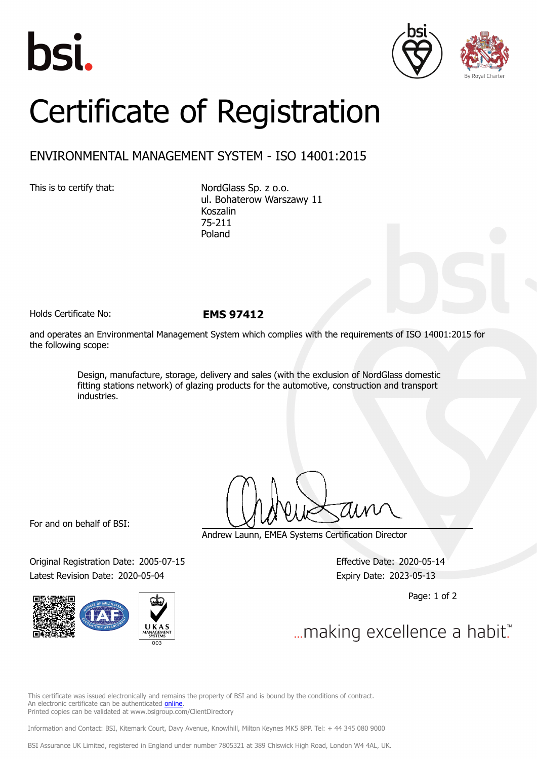





## Certificate of Registration

## ENVIRONMENTAL MANAGEMENT SYSTEM - ISO 14001:2015

This is to certify that: NordGlass Sp. z o.o. ul. Bohaterow Warszawy 11 Koszalin 75-211 Poland

Holds Certificate No: **EMS 97412**

and operates an Environmental Management System which complies with the requirements of ISO 14001:2015 for the following scope:

> Design, manufacture, storage, delivery and sales (with the exclusion of NordGlass domestic fitting stations network) of glazing products for the automotive, construction and transport industries.

For and on behalf of BSI:

Original Registration Date: 2005-07-15 Effective Date: 2020-05-14 Latest Revision Date: 2020-05-04 Expiry Date: 2023-05-13



Andrew Launn, EMEA Systems Certification Director

Page: 1 of 2

... making excellence a habit."

This certificate was issued electronically and remains the property of BSI and is bound by the conditions of contract. An electronic certificate can be authenticated [online](https://pgplus.bsigroup.com/CertificateValidation/CertificateValidator.aspx?CertificateNumber=EMS+97412&ReIssueDate=04%2f05%2f2020&Template=cemea_en) Printed copies can be validated at www.bsigroup.com/ClientDirectory

Information and Contact: BSI, Kitemark Court, Davy Avenue, Knowlhill, Milton Keynes MK5 8PP. Tel: + 44 345 080 9000

BSI Assurance UK Limited, registered in England under number 7805321 at 389 Chiswick High Road, London W4 4AL, UK.